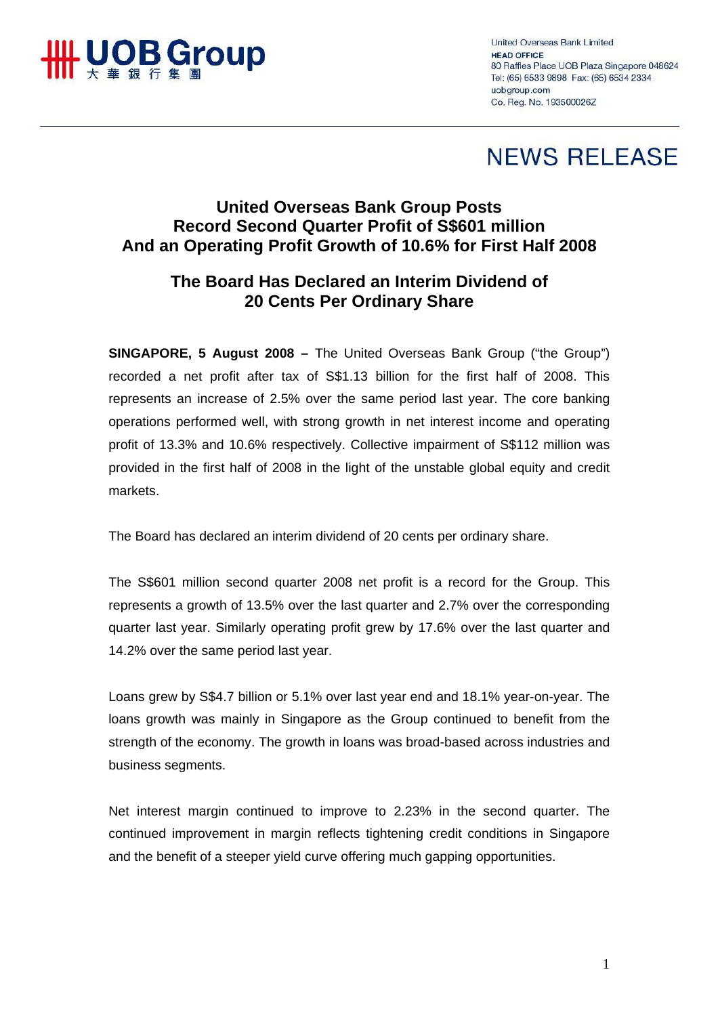

**United Overseas Bank Limited** HEAD OFFICE 80 Raffles Place UOB Plaza Singapore 048624 Tel: (65) 6533 9898 Fax: (65) 6534 2334 uobaroup com Co. Reg. No. 193500026Z

## **NEWS RELEASE**

## **United Overseas Bank Group Posts Record Second Quarter Profit of S\$601 million And an Operating Profit Growth of 10.6% for First Half 2008**

## **The Board Has Declared an Interim Dividend of 20 Cents Per Ordinary Share**

**SINGAPORE, 5 August 2008 –** The United Overseas Bank Group ("the Group") recorded a net profit after tax of S\$1.13 billion for the first half of 2008. This represents an increase of 2.5% over the same period last year. The core banking operations performed well, with strong growth in net interest income and operating profit of 13.3% and 10.6% respectively. Collective impairment of S\$112 million was provided in the first half of 2008 in the light of the unstable global equity and credit markets.

The Board has declared an interim dividend of 20 cents per ordinary share.

The S\$601 million second quarter 2008 net profit is a record for the Group. This represents a growth of 13.5% over the last quarter and 2.7% over the corresponding quarter last year. Similarly operating profit grew by 17.6% over the last quarter and 14.2% over the same period last year.

Loans grew by S\$4.7 billion or 5.1% over last year end and 18.1% year-on-year. The loans growth was mainly in Singapore as the Group continued to benefit from the strength of the economy. The growth in loans was broad-based across industries and business segments.

Net interest margin continued to improve to 2.23% in the second quarter. The continued improvement in margin reflects tightening credit conditions in Singapore and the benefit of a steeper yield curve offering much gapping opportunities.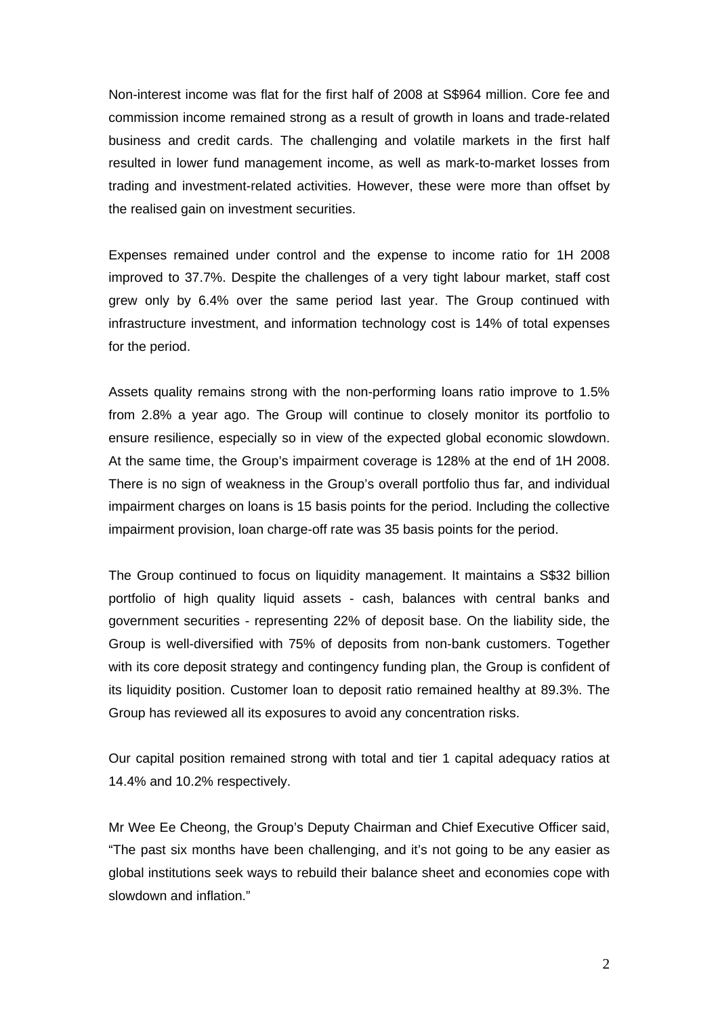Non-interest income was flat for the first half of 2008 at S\$964 million. Core fee and commission income remained strong as a result of growth in loans and trade-related business and credit cards. The challenging and volatile markets in the first half resulted in lower fund management income, as well as mark-to-market losses from trading and investment-related activities. However, these were more than offset by the realised gain on investment securities.

Expenses remained under control and the expense to income ratio for 1H 2008 improved to 37.7%. Despite the challenges of a very tight labour market, staff cost grew only by 6.4% over the same period last year. The Group continued with infrastructure investment, and information technology cost is 14% of total expenses for the period.

Assets quality remains strong with the non-performing loans ratio improve to 1.5% from 2.8% a year ago. The Group will continue to closely monitor its portfolio to ensure resilience, especially so in view of the expected global economic slowdown. At the same time, the Group's impairment coverage is 128% at the end of 1H 2008. There is no sign of weakness in the Group's overall portfolio thus far, and individual impairment charges on loans is 15 basis points for the period. Including the collective impairment provision, loan charge-off rate was 35 basis points for the period.

The Group continued to focus on liquidity management. It maintains a S\$32 billion portfolio of high quality liquid assets - cash, balances with central banks and government securities - representing 22% of deposit base. On the liability side, the Group is well-diversified with 75% of deposits from non-bank customers. Together with its core deposit strategy and contingency funding plan, the Group is confident of its liquidity position. Customer loan to deposit ratio remained healthy at 89.3%. The Group has reviewed all its exposures to avoid any concentration risks.

Our capital position remained strong with total and tier 1 capital adequacy ratios at 14.4% and 10.2% respectively.

Mr Wee Ee Cheong, the Group's Deputy Chairman and Chief Executive Officer said, "The past six months have been challenging, and it's not going to be any easier as global institutions seek ways to rebuild their balance sheet and economies cope with slowdown and inflation."